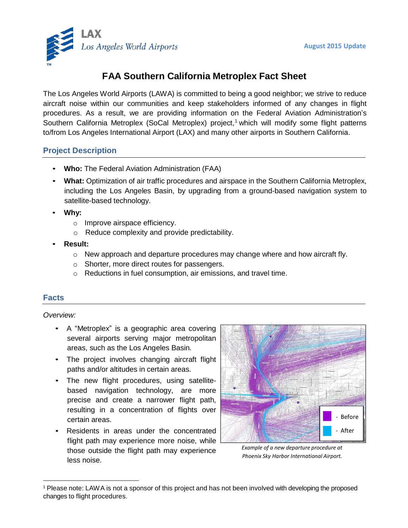

# **FAA Southern California Metroplex Fact Sheet**

The Los Angeles World Airports (LAWA) is committed to being a good neighbor; we strive to reduce aircraft noise within our communities and keep stakeholders informed of any changes in flight procedures. As a result, we are providing information on the Federal Aviation Administration's Southern California Metroplex (SoCal Metroplex) project,<sup>1</sup> which will modify some flight patterns to/from Los Angeles International Airport (LAX) and many other airports in Southern California.

# **Project Description**

- **Who:** The Federal Aviation Administration (FAA)
- **What:** Optimization of air traffic procedures and airspace in the Southern California Metroplex, including the Los Angeles Basin, by upgrading from a ground-based navigation system to satellite-based technology.
- **Why:**
	- o Improve airspace efficiency.
	- o Reduce complexity and provide predictability.
- **Result:**
	- $\circ$  New approach and departure procedures may change where and how aircraft fly.
	- o Shorter, more direct routes for passengers.
	- o Reductions in fuel consumption, air emissions, and travel time.

### **Facts**

#### *Overview:*

- A "Metroplex" is a geographic area covering several airports serving major metropolitan areas, such as the Los Angeles Basin.
- The project involves changing aircraft flight paths and/or altitudes in certain areas.
- The new flight procedures, using satellitebased navigation technology, are more precise and create a narrower flight path, resulting in a concentration of flights over certain areas.
- Residents in areas under the concentrated flight path may experience more noise, while those outside the flight path may experience less noise.



*Example of a new departure procedure at Phoenix Sky Harbor International Airport.*

<sup>&</sup>lt;sup>1</sup> Please note: LAWA is not a sponsor of this project and has not been involved with developing the proposed changes to flight procedures.